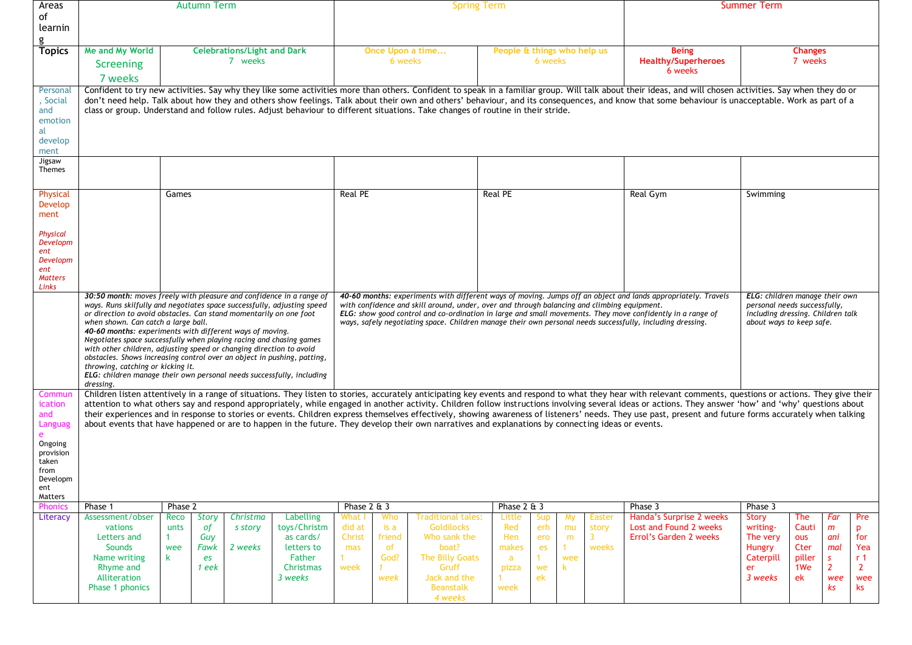| Areas<br><sub>of</sub>                                                    | <b>Autumn Term</b>                                                                                                                                                                                                                                                                                                                                                                                                                                                                                                                                                                                                                                                           |                                                                                      |                                |                                                                                                                                                                                                                                                                                                                                                                                                                                          |                                                 |                                             | <b>Spring Term</b>                                                                                                                   | <b>Summer Term</b>                                  |                                     |                            |                                 |                                                                                                                                                                                                                                                                                                                                                                                                                                                                                                                                                                                                                                    |                                                                              |                                                                |                                                             |                                                                       |
|---------------------------------------------------------------------------|------------------------------------------------------------------------------------------------------------------------------------------------------------------------------------------------------------------------------------------------------------------------------------------------------------------------------------------------------------------------------------------------------------------------------------------------------------------------------------------------------------------------------------------------------------------------------------------------------------------------------------------------------------------------------|--------------------------------------------------------------------------------------|--------------------------------|------------------------------------------------------------------------------------------------------------------------------------------------------------------------------------------------------------------------------------------------------------------------------------------------------------------------------------------------------------------------------------------------------------------------------------------|-------------------------------------------------|---------------------------------------------|--------------------------------------------------------------------------------------------------------------------------------------|-----------------------------------------------------|-------------------------------------|----------------------------|---------------------------------|------------------------------------------------------------------------------------------------------------------------------------------------------------------------------------------------------------------------------------------------------------------------------------------------------------------------------------------------------------------------------------------------------------------------------------------------------------------------------------------------------------------------------------------------------------------------------------------------------------------------------------|------------------------------------------------------------------------------|----------------------------------------------------------------|-------------------------------------------------------------|-----------------------------------------------------------------------|
| learnin                                                                   |                                                                                                                                                                                                                                                                                                                                                                                                                                                                                                                                                                                                                                                                              |                                                                                      |                                |                                                                                                                                                                                                                                                                                                                                                                                                                                          |                                                 |                                             |                                                                                                                                      |                                                     |                                     |                            |                                 |                                                                                                                                                                                                                                                                                                                                                                                                                                                                                                                                                                                                                                    |                                                                              |                                                                |                                                             |                                                                       |
| <b>Topics</b>                                                             | Me and My World                                                                                                                                                                                                                                                                                                                                                                                                                                                                                                                                                                                                                                                              | <b>Celebrations/Light and Dark</b>                                                   |                                |                                                                                                                                                                                                                                                                                                                                                                                                                                          | People & things who help us<br>Once Upon a time |                                             |                                                                                                                                      |                                                     |                                     |                            |                                 | <b>Being</b>                                                                                                                                                                                                                                                                                                                                                                                                                                                                                                                                                                                                                       | <b>Changes</b>                                                               |                                                                |                                                             |                                                                       |
|                                                                           | Screening                                                                                                                                                                                                                                                                                                                                                                                                                                                                                                                                                                                                                                                                    | 7 weeks                                                                              |                                |                                                                                                                                                                                                                                                                                                                                                                                                                                          |                                                 | 6 weeks                                     |                                                                                                                                      |                                                     | 6 weeks                             |                            |                                 | 7 weeks                                                                                                                                                                                                                                                                                                                                                                                                                                                                                                                                                                                                                            |                                                                              |                                                                |                                                             |                                                                       |
|                                                                           | 7 weeks                                                                                                                                                                                                                                                                                                                                                                                                                                                                                                                                                                                                                                                                      |                                                                                      |                                |                                                                                                                                                                                                                                                                                                                                                                                                                                          |                                                 |                                             |                                                                                                                                      |                                                     |                                     |                            |                                 | 6 weeks                                                                                                                                                                                                                                                                                                                                                                                                                                                                                                                                                                                                                            |                                                                              |                                                                |                                                             |                                                                       |
| Personal<br>, Social<br>and<br>emotion<br>al<br>develop<br>ment<br>Jigsaw | class or group. Understand and follow rules. Adjust behaviour to different situations. Take changes of routine in their stride.                                                                                                                                                                                                                                                                                                                                                                                                                                                                                                                                              |                                                                                      |                                |                                                                                                                                                                                                                                                                                                                                                                                                                                          |                                                 |                                             |                                                                                                                                      |                                                     |                                     |                            |                                 | Confident to try new activities. Say why they like some activities more than others. Confident to speak in a familiar group. Will talk about their ideas, and will chosen activities. Say when they do or<br>don't need help. Talk about how they and others show feelings. Talk about their own and others' behaviour, and its consequences, and know that some behaviour is unacceptable. Work as part of a                                                                                                                                                                                                                      |                                                                              |                                                                |                                                             |                                                                       |
| Themes                                                                    |                                                                                                                                                                                                                                                                                                                                                                                                                                                                                                                                                                                                                                                                              |                                                                                      |                                |                                                                                                                                                                                                                                                                                                                                                                                                                                          |                                                 |                                             |                                                                                                                                      |                                                     |                                     |                            |                                 |                                                                                                                                                                                                                                                                                                                                                                                                                                                                                                                                                                                                                                    |                                                                              |                                                                |                                                             |                                                                       |
| Physical                                                                  |                                                                                                                                                                                                                                                                                                                                                                                                                                                                                                                                                                                                                                                                              | Games                                                                                |                                |                                                                                                                                                                                                                                                                                                                                                                                                                                          | <b>Real PE</b>                                  |                                             |                                                                                                                                      | <b>Real PE</b>                                      |                                     |                            |                                 | Real Gym                                                                                                                                                                                                                                                                                                                                                                                                                                                                                                                                                                                                                           | Swimming                                                                     |                                                                |                                                             |                                                                       |
| Develop<br>ment                                                           |                                                                                                                                                                                                                                                                                                                                                                                                                                                                                                                                                                                                                                                                              |                                                                                      |                                |                                                                                                                                                                                                                                                                                                                                                                                                                                          |                                                 |                                             |                                                                                                                                      |                                                     |                                     |                            |                                 |                                                                                                                                                                                                                                                                                                                                                                                                                                                                                                                                                                                                                                    |                                                                              |                                                                |                                                             |                                                                       |
| Physical<br>Developm<br>ent                                               |                                                                                                                                                                                                                                                                                                                                                                                                                                                                                                                                                                                                                                                                              |                                                                                      |                                |                                                                                                                                                                                                                                                                                                                                                                                                                                          |                                                 |                                             |                                                                                                                                      |                                                     |                                     |                            |                                 |                                                                                                                                                                                                                                                                                                                                                                                                                                                                                                                                                                                                                                    |                                                                              |                                                                |                                                             |                                                                       |
| Developm<br>ent<br><b>Matters</b><br>Links                                |                                                                                                                                                                                                                                                                                                                                                                                                                                                                                                                                                                                                                                                                              |                                                                                      |                                |                                                                                                                                                                                                                                                                                                                                                                                                                                          |                                                 |                                             |                                                                                                                                      |                                                     |                                     |                            |                                 |                                                                                                                                                                                                                                                                                                                                                                                                                                                                                                                                                                                                                                    |                                                                              |                                                                |                                                             |                                                                       |
|                                                                           | 30:50 month: moves freely with pleasure and confidence in a range of<br>ways. Runs skilfully and negotiates space successfully, adjusting speed<br>or direction to avoid obstacles. Can stand momentarily on one foot<br>when shown. Can catch a large ball.<br>40-60 months: experiments with different ways of moving.<br>Negotiates space successfully when playing racing and chasing games<br>with other children, adjusting speed or changing direction to avoid<br>obstacles. Shows increasing control over an object in pushing, patting,<br>throwing, catching or kicking it.<br>ELG: children manage their own personal needs successfully, including<br>dressing. |                                                                                      |                                | 40-60 months: experiments with different ways of moving. Jumps off an object and lands appropriately. Travels<br>with confidence and skill around, under, over and through balancing and climbing equipment.<br>ELG: show good control and co-ordination in large and small movements. They move confidently in a range of<br>ways, safely negotiating space. Children manage their own personal needs successfully, including dressing. |                                                 |                                             |                                                                                                                                      |                                                     |                                     |                            |                                 | ELG: children manage their own<br>personal needs successfully,<br>including dressing. Children talk<br>about ways to keep safe.                                                                                                                                                                                                                                                                                                                                                                                                                                                                                                    |                                                                              |                                                                |                                                             |                                                                       |
| Commu<br>ication<br>and<br>Languag                                        | about events that have happened or are to happen in the future. They develop their own narratives and explanations by connecting ideas or events.                                                                                                                                                                                                                                                                                                                                                                                                                                                                                                                            |                                                                                      |                                |                                                                                                                                                                                                                                                                                                                                                                                                                                          |                                                 |                                             |                                                                                                                                      |                                                     |                                     |                            |                                 | Children listen attentively in a range of situations. They listen to stories, accurately anticipating key events and respond to what they hear with relevant comments, questions or actions. They give their<br>attention to what others say and respond appropriately, while engaged in another activity. Children follow instructions involving several ideas or actions. They answer 'how' and 'why' questions about<br>their experiences and in response to stories or events. Children express themselves effectively, showing awareness of listeners' needs. They use past, present and future forms accurately when talking |                                                                              |                                                                |                                                             |                                                                       |
| Ongoing<br>provision<br>taken<br>from<br>Developm<br>ent<br>Matters       |                                                                                                                                                                                                                                                                                                                                                                                                                                                                                                                                                                                                                                                                              |                                                                                      |                                |                                                                                                                                                                                                                                                                                                                                                                                                                                          |                                                 |                                             |                                                                                                                                      |                                                     |                                     |                            |                                 |                                                                                                                                                                                                                                                                                                                                                                                                                                                                                                                                                                                                                                    |                                                                              |                                                                |                                                             |                                                                       |
| Phonic                                                                    | Phase 1                                                                                                                                                                                                                                                                                                                                                                                                                                                                                                                                                                                                                                                                      | Phase 2                                                                              |                                |                                                                                                                                                                                                                                                                                                                                                                                                                                          | Phase $2 \& 3$                                  |                                             |                                                                                                                                      | Phase 2 & 3                                         |                                     |                            |                                 | Phase 3                                                                                                                                                                                                                                                                                                                                                                                                                                                                                                                                                                                                                            | $Phase$ 3                                                                    |                                                                |                                                             |                                                                       |
| Literacy                                                                  | Assessment/obser<br>vations<br>Letters and<br>Sounds<br>Name writing<br>Rhyme and<br>Alliteration<br>Phase 1 phonics                                                                                                                                                                                                                                                                                                                                                                                                                                                                                                                                                         | <b>Story</b><br>Reco<br>unts<br><i>of</i><br>Guy<br>wee<br>Fawk<br>k.<br>es<br>1 eek | Christma<br>s story<br>2 weeks | Labelling<br>toys/Christm<br>as cards/<br>letters to<br>Father<br>Christmas<br>3 weeks                                                                                                                                                                                                                                                                                                                                                   | What<br>did at<br>Christ<br>mas<br>week         | Who<br>is a<br>friend<br>of<br>God?<br>week | Traditional tales:<br><b>Goldilocks</b><br>Who sank the<br>boat?<br>The Billy Goats<br>Gruff<br>Jack and the<br>Beanstalk<br>4 weeks | Little<br>Red<br>Hen<br>makes<br>a<br>pizza<br>week | Sup<br>erh<br>ero<br>es<br>we<br>ek | My<br>mu<br>m<br>wee<br>k. | <b>Easter</b><br>story<br>weeks | Handa's Surprise 2 weeks<br>Lost and Found 2 weeks<br>Errol's Garden 2 weeks                                                                                                                                                                                                                                                                                                                                                                                                                                                                                                                                                       | <b>Story</b><br>writing-<br>The very<br>Hungry<br>Caterpill<br>er<br>3 weeks | The<br>Cauti<br>ous<br>Cter<br>piller<br>1 <sub>We</sub><br>ek | Far<br>m<br>ani<br>mal<br>s.<br>$\overline{2}$<br>wee<br>ks | Pre<br>p<br>for<br>Yea<br>r <sub>1</sub><br>$\mathbf{2}$<br>wee<br>ks |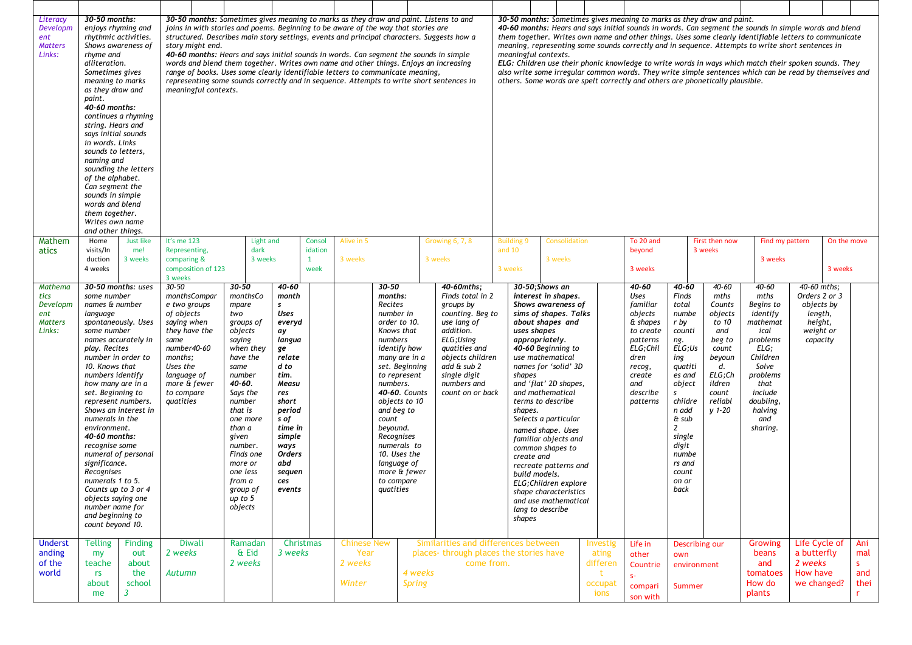| Literacy<br>Developm<br>ent<br><b>Matters</b><br>Links:        | 30-50 months:<br>enjoys rhyming and<br>rhythmic activities.<br>Shows awareness of<br>rhyme and<br>alliteration.<br>Sometimes gives<br>meaning to marks<br>as they draw and<br>paint.<br>40-60 months:<br>continues a rhyming<br>string. Hears and<br>says initial sounds<br>in words. Links<br>sounds to letters,<br>naming and<br>sounding the letters<br>of the alphabet.<br>Can segment the<br>sounds in simple<br>words and blend<br>them together.<br>Writes own name<br>and other things. |                                                                                                                                        | 30-50 months: Sometimes gives meaning to marks as they draw and paint. Listens to and<br>joins in with stories and poems. Beginning to be aware of the way that stories are<br>structured. Describes main story settings, events and principal characters, Suggests how a<br>story might end.<br>40-60 months: Hears and says initial sounds in words. Can segment the sounds in simple<br>words and blend them together. Writes own name and other things. Enjoys an increasing<br>range of books. Uses some clearly identifiable letters to communicate meaning,<br>representing some sounds correctly and in sequence. Attempts to write short sentences in<br>meaningful contexts. |                    |                                                                                                                                                                                                                                                                                           |                                                                                                                                                                                                                  |                                           |                                                 |                                                                                                                                                                                                                                                                                                                                              | 30-50 months: Sometimes gives meaning to marks as they draw and paint.<br>40-60 months: Hears and says initial sounds in words. Can segment the sounds in simple words and blend<br>them together. Writes own name and other things. Uses some clearly identifiable letters to communicate<br>meaning, representing some sounds correctly and in sequence. Attempts to write short sentences in<br>meaningful contexts.<br>ELG: Children use their phonic knowledge to write words in ways which match their spoken sounds. They<br>also write some irregular common words. They write simple sentences which can be read by themselves and<br>others. Some words are spelt correctly and others are phonetically plausible. |                                                                                                                                                                                                                 |                                          |                                                                                                                                                                            |                                                                                                                                                                                                                                                                                                                                                                               |                                                              |  |                                                                                                                                                  |                                                                                                                                                                                                                                          |                                                                                                                                                 |                                                                                                                                                                                   |                            |                                                                                           |                        |                                       |
|----------------------------------------------------------------|-------------------------------------------------------------------------------------------------------------------------------------------------------------------------------------------------------------------------------------------------------------------------------------------------------------------------------------------------------------------------------------------------------------------------------------------------------------------------------------------------|----------------------------------------------------------------------------------------------------------------------------------------|----------------------------------------------------------------------------------------------------------------------------------------------------------------------------------------------------------------------------------------------------------------------------------------------------------------------------------------------------------------------------------------------------------------------------------------------------------------------------------------------------------------------------------------------------------------------------------------------------------------------------------------------------------------------------------------|--------------------|-------------------------------------------------------------------------------------------------------------------------------------------------------------------------------------------------------------------------------------------------------------------------------------------|------------------------------------------------------------------------------------------------------------------------------------------------------------------------------------------------------------------|-------------------------------------------|-------------------------------------------------|----------------------------------------------------------------------------------------------------------------------------------------------------------------------------------------------------------------------------------------------------------------------------------------------------------------------------------------------|------------------------------------------------------------------------------------------------------------------------------------------------------------------------------------------------------------------------------------------------------------------------------------------------------------------------------------------------------------------------------------------------------------------------------------------------------------------------------------------------------------------------------------------------------------------------------------------------------------------------------------------------------------------------------------------------------------------------------|-----------------------------------------------------------------------------------------------------------------------------------------------------------------------------------------------------------------|------------------------------------------|----------------------------------------------------------------------------------------------------------------------------------------------------------------------------|-------------------------------------------------------------------------------------------------------------------------------------------------------------------------------------------------------------------------------------------------------------------------------------------------------------------------------------------------------------------------------|--------------------------------------------------------------|--|--------------------------------------------------------------------------------------------------------------------------------------------------|------------------------------------------------------------------------------------------------------------------------------------------------------------------------------------------------------------------------------------------|-------------------------------------------------------------------------------------------------------------------------------------------------|-----------------------------------------------------------------------------------------------------------------------------------------------------------------------------------|----------------------------|-------------------------------------------------------------------------------------------|------------------------|---------------------------------------|
| Mathem<br>atics                                                | Home<br>visits/In<br>duction<br>4 weeks                                                                                                                                                                                                                                                                                                                                                                                                                                                         | Just like<br>me!<br>3 weeks                                                                                                            | It's me 123<br>Representing,<br>comparing &<br>3 weeks                                                                                                                                                                                                                                                                                                                                                                                                                                                                                                                                                                                                                                 | composition of 123 | Light and<br>dark<br>3 weeks                                                                                                                                                                                                                                                              |                                                                                                                                                                                                                  | Consol<br>idation<br>$\mathbf{1}$<br>week | Alive in 5<br>3 weeks                           |                                                                                                                                                                                                                                                                                                                                              |                                                                                                                                                                                                                                                                                                                                                                                                                                                                                                                                                                                                                                                                                                                              | <b>Growing 6, 7, 8</b><br>3 weeks                                                                                                                                                                               | <b>Building 9</b><br>and $10$<br>3 weeks |                                                                                                                                                                            | Consolidation<br>3 weeks                                                                                                                                                                                                                                                                                                                                                      |                                                              |  | To 20 and<br>beyond<br>3 weeks                                                                                                                   |                                                                                                                                                                                                                                          | First then now<br>3 weeks                                                                                                                       |                                                                                                                                                                                   | Find my pattern<br>3 weeks |                                                                                           | On the move<br>3 weeks |                                       |
| Mathema<br>tics<br>Developm<br>ent<br><b>Matters</b><br>Links: | some number<br>names & number<br>language<br>some number<br>play. Recites<br>number in order to<br>10. Knows that<br>numbers identify<br>how many are in a<br>set. Beginning to<br>represent numbers.<br>numerals in the<br>environment.<br>40-60 months:<br>recognise some<br>significance.<br>Recognises<br>numerals 1 to 5.<br>objects saying one<br>number name for<br>and beginning to<br>count beyond 10.                                                                                 | 30-50 months: uses<br>spontaneously. Uses<br>names accurately in<br>Shows an interest in<br>numeral of personal<br>Counts up to 3 or 4 | 30-50<br>e two groups<br>of objects<br>saying when<br>they have the<br>same<br>number40-60<br>months;<br>Uses the<br>language of<br>more & fewer<br>to compare<br>quatities                                                                                                                                                                                                                                                                                                                                                                                                                                                                                                            | monthsCompar       | $30 - 50$<br>monthsCo<br>mpare<br>two<br>groups of<br>objects<br>saying<br>when they<br>have the<br>same<br>number<br>40-60.<br>Says the<br>number<br>that is<br>one more<br>than a<br>given<br>number.<br>Finds one<br>more or<br>one less<br>from a<br>group of<br>up to $5$<br>objects | 40-60<br>month<br>s<br><b>Uses</b><br>everyd<br>ay<br>langua<br>ge<br>relate<br>d to<br>tim.<br>Measu<br>res<br>short<br>period<br>s of<br>time in<br>simple<br>ways<br>Orders<br>abd<br>sequen<br>ces<br>events |                                           |                                                 | 30-50<br>months:<br>Recites<br>number in<br>order to 10.<br>Knows that<br>numbers<br>identify how<br>many are in a<br>set. Beginning<br>to represent<br>numbers.<br>40-60. Counts<br>objects to 10<br>and beg to<br>count<br>beyound.<br>Recognises<br>numerals to<br>10. Uses the<br>language of<br>more & fewer<br>to compare<br>quatities |                                                                                                                                                                                                                                                                                                                                                                                                                                                                                                                                                                                                                                                                                                                              | 40-60mths;<br>Finds total in 2<br>groups by<br>counting. Beg to<br>use lang of<br>addition.<br>ELG;Using<br>quatities and<br>objects children<br>add & sub 2<br>single digit<br>numbers and<br>count on or back |                                          | 30-50:Shows an<br>uses shapes<br>appropriately.<br>use mathematical<br>shapes<br>terms to describe<br>shapes.<br>create and<br>build models.<br>lang to describe<br>shapes | interest in shapes.<br>Shows awareness of<br>sims of shapes. Talks<br>about shapes and<br>40-60 Beginning to<br>names for 'solid' 3D<br>and 'flat' 2D shapes,<br>and mathematical<br>Selects a particular<br>named shape. Uses<br>familiar objects and<br>common shapes to<br>recreate patterns and<br>ELG: Children explore<br>shape characteristics<br>and use mathematical |                                                              |  | 40-60<br>Uses<br>familiar<br>objects<br>& shapes<br>to create<br>patterns<br>ELG;Chil<br>dren<br>recog,<br>create<br>and<br>describe<br>patterns | 40-60<br>Finds<br>total<br>numbe<br>r by<br>counti<br>ng.<br>ELG:Us<br>ing<br>quatiti<br>es and<br>object<br>$\mathsf{s}$<br>childre<br>n add<br>& sub<br>$\overline{2}$<br>single<br>digit<br>numbe<br>rs and<br>count<br>on or<br>back | 40-60<br>mths<br>Counts<br>objects<br>to 10<br>and<br>beg to<br>count<br>beyoun<br>d.<br>$ELG$ ; $Ch$<br>ildren<br>count<br>reliabl<br>$y$ 1-20 | $40 - 60$<br>mths<br>Begins to<br>identify<br>mathemat<br>ical<br>problems<br>ELG:<br>Children<br>Solve<br>problems<br>that<br>include<br>doubling,<br>halving<br>and<br>sharing. |                            | 40-60 mths;<br>Orders 2 or 3<br>objects by<br>length,<br>height,<br>weight or<br>capacity |                        |                                       |
| <b>Underst</b><br>anding<br>of the<br>world                    | <b>Telling</b><br>my<br>teache<br>rs<br>about<br>me                                                                                                                                                                                                                                                                                                                                                                                                                                             | <b>Finding</b><br>out<br>about<br>the<br>school<br>3                                                                                   | 2 weeks<br>Autumn                                                                                                                                                                                                                                                                                                                                                                                                                                                                                                                                                                                                                                                                      | Diwali             | Ramadan<br>& Eid<br>2 weeks                                                                                                                                                                                                                                                               | Christmas<br>3 weeks                                                                                                                                                                                             |                                           | <b>Chinese New</b><br>Year<br>2 weeks<br>Winter |                                                                                                                                                                                                                                                                                                                                              | 4 weeks<br>Spring                                                                                                                                                                                                                                                                                                                                                                                                                                                                                                                                                                                                                                                                                                            | Similarities and differences between<br>places-through places the stories have<br>come from.                                                                                                                    |                                          |                                                                                                                                                                            |                                                                                                                                                                                                                                                                                                                                                                               | <b>Investig</b><br>ating<br>differen<br>t<br>occupat<br>ions |  | Life in<br>other<br>Countrie<br>$S-$<br>compari<br>son with                                                                                      | own<br>Summer                                                                                                                                                                                                                            | Describing our<br>environment                                                                                                                   | Growing<br>beans<br>and<br>tomatoes<br>How do<br>plants                                                                                                                           |                            | Life Cycle of<br>a butterfly<br>2 weeks<br>How have<br>we changed?                        |                        | Ani<br>mal<br>S.<br>and<br>thei<br>r. |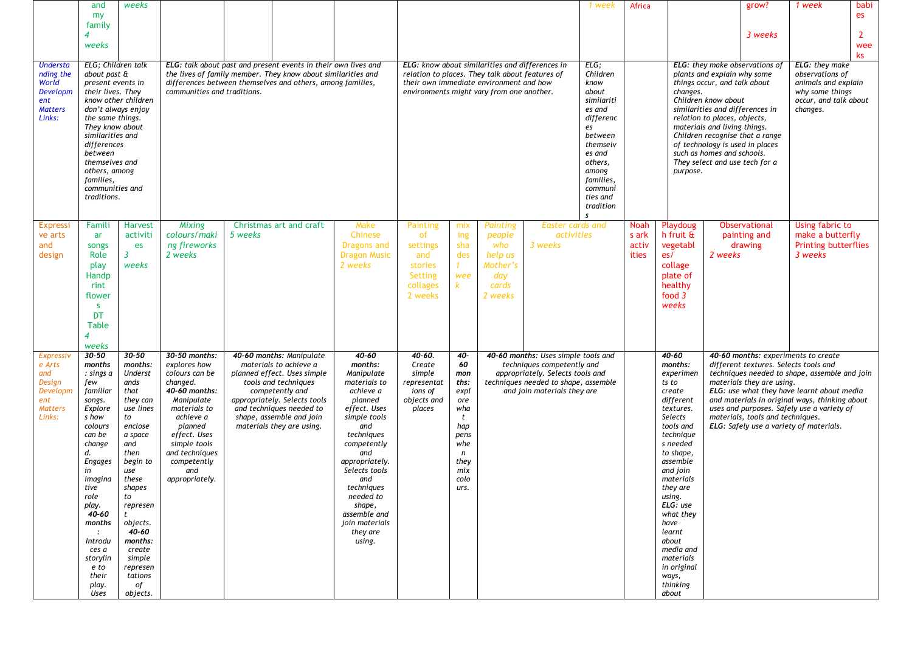|                                                                                     | and<br>my                                                                                                                                                                                                                                                                                | weeks                                                                                                                                                                                                                                                                                |                                                                                                                                                                                                                              |                                                                                                                                                                                                                                                   |                                                                                                                                                                                                                                                                                                     |                                                                                                                                                                                            |                                                                                                               |                                                                             |                                                                                                                                                                              | 1 week                                                                                                                                                                             | Africa                          |                                                                                                                                                                                                                                                                                                                                |                                                                                                                                                                                                                                                                                                                                                                                                               | grow?                                                                                                  | 1 week                                                                                                                                                                                                                                                                        | babi<br>es                                                                                                       |  |  |
|-------------------------------------------------------------------------------------|------------------------------------------------------------------------------------------------------------------------------------------------------------------------------------------------------------------------------------------------------------------------------------------|--------------------------------------------------------------------------------------------------------------------------------------------------------------------------------------------------------------------------------------------------------------------------------------|------------------------------------------------------------------------------------------------------------------------------------------------------------------------------------------------------------------------------|---------------------------------------------------------------------------------------------------------------------------------------------------------------------------------------------------------------------------------------------------|-----------------------------------------------------------------------------------------------------------------------------------------------------------------------------------------------------------------------------------------------------------------------------------------------------|--------------------------------------------------------------------------------------------------------------------------------------------------------------------------------------------|---------------------------------------------------------------------------------------------------------------|-----------------------------------------------------------------------------|------------------------------------------------------------------------------------------------------------------------------------------------------------------------------|------------------------------------------------------------------------------------------------------------------------------------------------------------------------------------|---------------------------------|--------------------------------------------------------------------------------------------------------------------------------------------------------------------------------------------------------------------------------------------------------------------------------------------------------------------------------|---------------------------------------------------------------------------------------------------------------------------------------------------------------------------------------------------------------------------------------------------------------------------------------------------------------------------------------------------------------------------------------------------------------|--------------------------------------------------------------------------------------------------------|-------------------------------------------------------------------------------------------------------------------------------------------------------------------------------------------------------------------------------------------------------------------------------|------------------------------------------------------------------------------------------------------------------|--|--|
|                                                                                     | family<br>4<br>weeks                                                                                                                                                                                                                                                                     |                                                                                                                                                                                                                                                                                      |                                                                                                                                                                                                                              |                                                                                                                                                                                                                                                   |                                                                                                                                                                                                                                                                                                     |                                                                                                                                                                                            |                                                                                                               |                                                                             |                                                                                                                                                                              |                                                                                                                                                                                    |                                 |                                                                                                                                                                                                                                                                                                                                |                                                                                                                                                                                                                                                                                                                                                                                                               | 3 weeks                                                                                                |                                                                                                                                                                                                                                                                               | 2<br>wee<br>ks                                                                                                   |  |  |
| Understa<br>nding the<br>World<br>Developm<br>ent<br><b>Matters</b><br>Links:       | ELG: Children talk<br>about past &<br>present events in<br>their lives. They<br>the same things.<br>They know about<br>similarities and<br>differences<br>between<br>themselves and<br>others, among<br>families,<br>communities and<br>traditions.                                      | know other children<br>don't always enjoy                                                                                                                                                                                                                                            | communities and traditions.                                                                                                                                                                                                  | ELG: talk about past and present events in their own lives and<br>the lives of family member. They know about similarities and<br>differences between themselves and others, among families,                                                      |                                                                                                                                                                                                                                                                                                     | ELG: know about similarities and differences in<br>relation to places. They talk about features of<br>their own immediate environment and how<br>environments might vary from one another. |                                                                                                               |                                                                             |                                                                                                                                                                              | ELG;<br>Children<br>know<br>about<br>similariti<br>es and<br>differenc<br>es<br>between<br>themselv<br>es and<br>others,<br>among<br>families,<br>communi<br>ties and<br>tradition |                                 |                                                                                                                                                                                                                                                                                                                                | ELG: they make observations of<br>plants and explain why some<br>things occur, and talk about<br>changes.<br>Children know about<br>similarities and differences in<br>relation to places, objects,<br>materials and living things.<br>Children recognise that a range<br>of technology is used in places<br>such as homes and schools.<br>They select and use tech for a<br>purpose.<br><b>Observational</b> |                                                                                                        |                                                                                                                                                                                                                                                                               | ELG: they make<br>observations of<br>animals and explain<br>why some things<br>occur, and talk about<br>changes. |  |  |
| Expressi<br>ve arts<br>and<br>design                                                | Famili<br>ar<br>songs<br>Role<br>play<br>Handp<br>rint<br>flower<br><b>S</b><br><b>DT</b><br><b>Table</b><br>weeks                                                                                                                                                                       | <b>Harvest</b><br>activiti<br>es<br>$\overline{3}$<br>weeks                                                                                                                                                                                                                          | Mixing<br>colours/maki<br>ng fireworks<br>2 weeks                                                                                                                                                                            | Christmas art and craft<br>5 weeks                                                                                                                                                                                                                | Make<br>Chinese<br>Dragons and<br><b>Dragon Music</b><br>2 weeks                                                                                                                                                                                                                                    | Painting<br><b>of</b><br>settings<br>and<br>stories<br>Setting<br>collages<br>2 weeks                                                                                                      | mix<br>ing<br>sha<br>des<br>1<br>wee<br>k.                                                                    | Painting<br>people<br>who<br>help us<br>Mother's<br>day<br>cards<br>2 weeks | <b>Easter cards and</b><br>activities<br>3 weeks                                                                                                                             |                                                                                                                                                                                    | Noah<br>s ark<br>activ<br>ities | Playdoug<br>h fruit &<br>vegetabl<br>es/<br>collage<br>plate of<br>healthy<br>food 3<br>weeks                                                                                                                                                                                                                                  | 2 weeks                                                                                                                                                                                                                                                                                                                                                                                                       | painting and<br>drawing                                                                                | Using fabric to<br>make a butterfly<br><b>Printing butterflies</b><br>3 weeks                                                                                                                                                                                                 |                                                                                                                  |  |  |
| Expressiv<br>e Arts<br>and<br>Design<br>Developm<br>ent<br><b>Matters</b><br>Links: | $30 - 50$<br>months<br>: sings a<br>few<br>familiar<br>songs.<br>Explore<br>s how<br>colours<br>can be<br>change<br>d.<br><b>Engages</b><br>in<br>imagina<br>tive<br>role<br>play.<br>40-60<br>months<br>$\mathcal{L}$<br>Introdu<br>ces a<br>storylin<br>e to<br>their<br>play.<br>Uses | $30 - 50$<br>months:<br><b>Underst</b><br>ands<br>that<br>they can<br>use lines<br>to<br>enclose<br>a space<br>and<br>then<br>begin to<br>use<br>these<br>shapes<br>to<br>represen<br>t<br>objects.<br>40-60<br>months:<br>create<br>simple<br>represen<br>tations<br>of<br>objects. | 30-50 months:<br>explores how<br>colours can be<br>changed.<br>40-60 months:<br>Manipulate<br>materials to<br>achieve a<br>planned<br>effect. Uses<br>simple tools<br>and techniques<br>competently<br>and<br>appropriately. | 40-60 months: Manipulate<br>materials to achieve a<br>planned effect. Uses simple<br>tools and techniques<br>competently and<br>appropriately. Selects tools<br>and techniques needed to<br>shape, assemble and join<br>materials they are using. | $40 - 60$<br>months:<br>Manipulate<br>materials to<br>achieve a<br>planned<br>effect. Uses<br>simple tools<br>and<br>techniques<br>competently<br>and<br>appropriately.<br>Selects tools<br>and<br>techniques<br>needed to<br>shape,<br>assemble and<br><i>ioin materials</i><br>they are<br>using. | 40-60.<br>Create<br>simple<br>representat<br>ions of<br>objects and<br>places                                                                                                              | 40-<br>60<br>mon<br>ths:<br>expl<br>ore<br>wha<br>t<br>hap<br>pens<br>whe<br>n<br>they<br>mix<br>colo<br>urs. |                                                                             | 40-60 months: Uses simple tools and<br>techniques competently and<br>appropriately. Selects tools and<br>techniques needed to shape, assemble<br>and join materials they are |                                                                                                                                                                                    |                                 | 40-60<br>months:<br>experimen<br>ts to<br>create<br>different<br>textures.<br>Selects<br>tools and<br>technique<br>s needed<br>to shape,<br>assemble<br>and join<br>materials<br>they are<br>using.<br>ELG: use<br>what they<br>have<br>learnt<br>about<br>media and<br>materials<br>in original<br>ways,<br>thinking<br>about |                                                                                                                                                                                                                                                                                                                                                                                                               | different textures. Selects tools and<br>materials they are using.<br>materials, tools and techniques. | 40-60 months: experiments to create<br>techniques needed to shape, assemble and join<br>ELG: use what they have learnt about media<br>and materials in original ways, thinking about<br>uses and purposes. Safely use a variety of<br>ELG: Safely use a variety of materials. |                                                                                                                  |  |  |